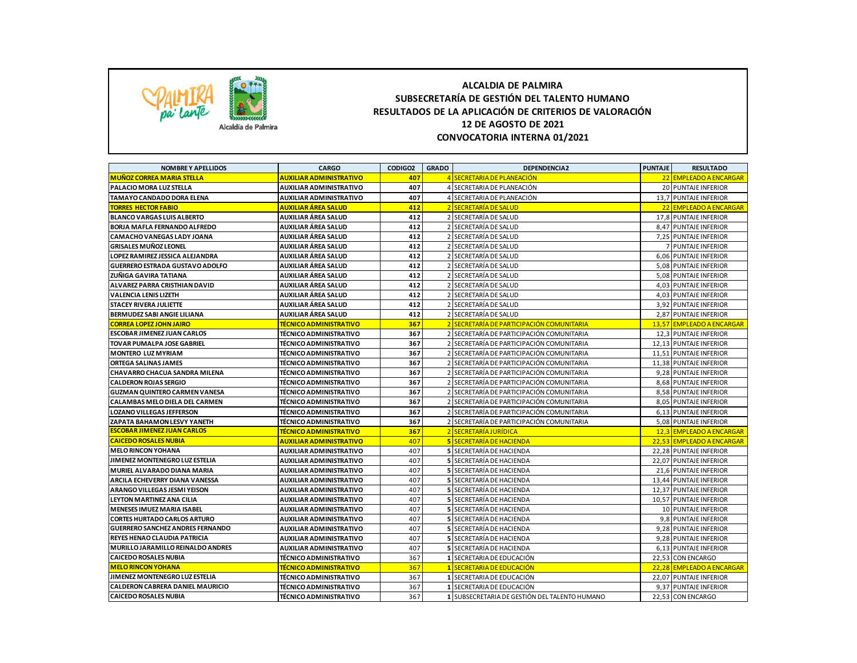

## **ALCALDIA DE PALMIRA SUBSECRETARÍA DE GESTIÓN DEL TALENTO HUMANO RESULTADOS DE LA APLICACIÓN DE CRITERIOS DE VALORACIÓN 12 DE AGOSTO DE 2021 CONVOCATORIA INTERNA 01/2021**

| <b>NOMBREY APELLIDOS</b>                | <b>CARGO</b>                        | CODIGO2 | <b>GRADO</b>    | <b>DEPENDENCIA2</b>                           | <b>PUNTAJE</b> | <b>RESULTADO</b>          |
|-----------------------------------------|-------------------------------------|---------|-----------------|-----------------------------------------------|----------------|---------------------------|
| <b>MUÑOZ CORREA MARIA STELLA</b>        | <b>AUXILIAR ADMINISTRATIVO</b>      | 407     | $\overline{a}$  | SECRETARIA DE PLANEACIÓN                      |                | 22 EMPLEADO A ENCARGAR    |
| PALACIO MORA LUZ STELLA                 | AUXILIAR ADMINISTRATIVO             | 407     |                 | 4 SECRETARIA DE PLANEACIÓN                    |                | 20 PUNTAJE INFERIOR       |
| TAMAYO CANDADO DORA ELENA               | AUXILIAR ADMINISTRATIVO             | 407     | 4               | SECRETARIA DE PLANEACIÓN                      |                | 13.7 PUNTAJE INFERIOR     |
| <b>TORRES HECTOR FABIO</b>              | <u>AUXILIAR ÁREA SALUD</u>          | 412     |                 | <b>SECRETARÍA DE SALUD</b>                    |                | 22 EMPLEADO A ENCARGAR    |
| <b>BLANCO VARGAS LUIS ALBERTO</b>       | AUXILIAR ÁREA SALUD                 | 412     |                 | 2 SECRETARÍA DE SALUD                         |                | 17,8 PUNTAJE INFERIOR     |
| <b>BORJA MAFLA FERNANDO ALFREDO</b>     | AUXILIAR ÁREA SALUD                 | 412     | $\overline{2}$  | SECRETARÍA DE SALUD                           |                | 8,47 PUNTAJE INFERIOR     |
| CAMACHO VANEGAS LADY JOANA              | AUXILIAR ÁREA SALUD                 | 412     |                 | SECRETARÍA DE SALUD                           |                | 7,25 PUNTAJE INFERIOR     |
| <b>GRISALES MUÑOZ LEONEL</b>            | AUXILIAR ÁREA SALUD                 | 412     |                 | 2 SECRETARÍA DE SALUD                         |                | <b>7 PUNTAJE INFERIOR</b> |
| LOPEZ RAMIREZ JESSICA ALEJANDRA         | AUXILIAR ÁREA SALUD                 | 412     | $\overline{2}$  | SECRETARÍA DE SALUD                           |                | 6,06 PUNTAJE INFERIOR     |
| <b>GUERRERO ESTRADA GUSTAVO ADOLFO</b>  | AUXILIAR ÁREA SALUD                 | 412     |                 | 2 SECRETARÍA DE SALUD                         |                | 5.08 PUNTAJE INFERIOR     |
| ZUÑIGA GAVIRA TATIANA                   | AUXILIAR ÁREA SALUD                 | 412     | $\overline{2}$  | SECRETARÍA DE SALUD                           |                | 5,08 PUNTAJE INFERIOR     |
| ALVAREZ PARRA CRISTHIAN DAVID           | AUXILIAR ÁREA SALUD                 | 412     | $\overline{2}$  | SECRETARÍA DE SALUD                           |                | 4,03 PUNTAJE INFERIOR     |
| <b>VALENCIA LENIS LIZETH</b>            | AUXILIAR ÁREA SALUD                 | 412     |                 | 2 SECRETARÍA DE SALUD                         |                | 4.03 PUNTAJE INFERIOR     |
| STACEY RIVERA JULIETTE                  | AUXILIAR ÁREA SALUD                 | 412     |                 | SECRETARÍA DE SALUD                           |                | 3,92 PUNTAJE INFERIOR     |
| BERMUDEZ SABI ANGIE LILIANA             | AUXILIAR ÁREA SALUD                 | 412     |                 | 2 SECRETARÍA DE SALUD                         |                | 2.87 PUNTAJE INFERIOR     |
| <b>CORREA LOPEZ JOHN JAIRO</b>          | <mark>TÉCNICO ADMINISTRATIVO</mark> | 367     |                 | 2 SECRETARÍA DE PARTICIPACIÓN COMUNITARIA     |                | 13,57 EMPLEADO A ENCARGAR |
| <b>ESCOBAR JIMENEZ JUAN CARLOS</b>      | TÉCNICO ADMINISTRATIVO              | 367     |                 | SECRETARÍA DE PARTICIPACIÓN COMUNITARIA       |                | 12,3 PUNTAJE INFERIOR     |
| TOVAR PUMALPA JOSE GABRIEL              | TÉCNICO ADMINISTRATIVO              | 367     |                 | SECRETARÍA DE PARTICIPACIÓN COMUNITARIA       |                | 12,13 PUNTAJE INFERIOR    |
| <b>MONTERO LUZ MYRIAM</b>               | <b>TÉCNICO ADMINISTRATIVO</b>       | 367     |                 | SECRETARÍA DE PARTICIPACIÓN COMUNITARIA       |                | 11,51 PUNTAJE INFERIOR    |
| <b>ORTEGA SALINAS JAMES</b>             | TÉCNICO ADMINISTRATIVO              | 367     |                 | SECRETARÍA DE PARTICIPACIÓN COMUNITARIA       |                | 11.38 PUNTAJE INFERIOR    |
| CHAVARRO CHACUA SANDRA MILENA           | TÉCNICO ADMINISTRATIVO              | 367     |                 | SECRETARÍA DE PARTICIPACIÓN COMUNITARIA       |                | 9,28 PUNTAJE INFERIOR     |
| <b>CALDERON ROJAS SERGIO</b>            | <b>TÉCNICO ADMINISTRATIVO</b>       | 367     |                 | 2 SECRETARÍA DE PARTICIPACIÓN COMUNITARIA     |                | 8,68 PUNTAJE INFERIOR     |
| <b>GUZMAN QUINTERO CARMEN VANESA</b>    | TÉCNICO ADMINISTRATIVO              | 367     |                 | 2 SECRETARÍA DE PARTICIPACIÓN COMUNITARIA     |                | 8,58 PUNTAJE INFERIOR     |
| CALAMBAS MELO DIELA DEL CARMEN          | TÉCNICO ADMINISTRATIVO              | 367     |                 | SECRETARÍA DE PARTICIPACIÓN COMUNITARIA       |                | 8,05 PUNTAJE INFERIOR     |
| <b>LOZANO VILLEGAS JEFFERSON</b>        | TÉCNICO ADMINISTRATIVO              | 367     |                 | 2 SECRETARÍA DE PARTICIPACIÓN COMUNITARIA     |                | 6,13 PUNTAJE INFERIOR     |
| ZAPATA BAHAMON LESVY YANETH             | <b>TÉCNICO ADMINISTRATIVO</b>       | 367     |                 | 2 SECRETARÍA DE PARTICIPACIÓN COMUNITARIA     |                | 5,08 PUNTAJE INFERIOR     |
| <b>ESCOBAR JIMENEZ JUAN CARLOS</b>      | <u>TÉCNICO ADMINISTRATIVO</u>       | 367     | $\overline{2}$  | <b>SECRETARÍA JURÍDICA</b>                    |                | 12,3 EMPLEADO A ENCARGAR  |
| <b>CAICEDO ROSALES NUBIA</b>            | <b>AUXILIAR ADMINISTRATIVO</b>      | 407     |                 | <b>5 SECRETARÍA DE HACIENDA</b>               |                | 22,53 EMPLEADO A ENCARGAR |
| <b>MELO RINCON YOHANA</b>               | AUXILIAR ADMINISTRATIVO             | 407     |                 | 5 SECRETARÍA DE HACIENDA                      |                | 22,28 PUNTAJE INFERIOR    |
| JIMENEZ MONTENEGRO LUZ ESTELIA          | AUXILIAR ADMINISTRATIVO             | 407     |                 | <b>5 SECRETARÍA DE HACIENDA</b>               |                | 22.07 PUNTAJE INFERIOR    |
| MURIEL ALVARADO DIANA MARIA             | AUXILIAR ADMINISTRATIVO             | 407     |                 | <b>5 SECRETARÍA DE HACIENDA</b>               |                | 21,6 PUNTAJE INFERIOR     |
| ARCILA ECHEVERRY DIANA VANESSA          | <b>AUXILIAR ADMINISTRATIVO</b>      | 407     |                 | 5 SECRETARÍA DE HACIENDA                      |                | 13,44 PUNTAJE INFERIOR    |
| ARANGO VILLEGAS JESMI YEISON            | AUXILIAR ADMINISTRATIVO             | 407     |                 | <b>5 SECRETARÍA DE HACIENDA</b>               |                | 12,37 PUNTAJE INFERIOR    |
| <b>LEYTON MARTINEZ ANA CILIA</b>        | AUXILIAR ADMINISTRATIVO             | 407     |                 | <b>5 SECRETARÍA DE HACIENDA</b>               |                | 10,57 PUNTAJE INFERIOR    |
| <b>MENESES IMUEZ MARIA ISABEL</b>       | AUXILIAR ADMINISTRATIVO             | 407     |                 | <b>5 SECRETARÍA DE HACIENDA</b>               |                | 10 PUNTAJE INFERIOR       |
| <b>CORTES HURTADO CARLOS ARTURO</b>     | AUXILIAR ADMINISTRATIVO             | 407     |                 | <b>5 SECRETARÍA DE HACIENDA</b>               |                | 9.8 PUNTAJE INFERIOR      |
| <b>GUERRERO SANCHEZ ANDRES FERNANDO</b> | AUXILIAR ADMINISTRATIVO             | 407     |                 | 5 SECRETARÍA DE HACIENDA                      |                | 9,28 PUNTAJE INFERIOR     |
| REYES HENAO CLAUDIA PATRICIA            | AUXILIAR ADMINISTRATIVO             | 407     |                 | <b>5 SECRETARÍA DE HACIENDA</b>               |                | 9,28 PUNTAJE INFERIOR     |
| MURILLO JARAMILLO REINALDO ANDRES       | AUXILIAR ADMINISTRATIVO             | 407     |                 | <b>5 SECRETARÍA DE HACIENDA</b>               |                | 6,13 PUNTAJE INFERIOR     |
| <b>CAICEDO ROSALES NUBIA</b>            | TÉCNICO ADMINISTRATIVO              | 367     |                 | 1 SECRETARIA DE EDUCACIÓN                     |                | 22,53 CON ENCARGO         |
| <b>MELO RINCON YOHANA</b>               | <u>TÉCNICO ADMINISTRATIVO</u>       | 367     | $\vert 1 \vert$ | SECRETARIA DE EDUCACIÓN                       |                | 22,28 EMPLEADO A ENCARGAR |
| JIMENEZ MONTENEGRO LUZ ESTELIA          | <b>TÉCNICO ADMINISTRATIVO</b>       | 367     |                 | 1 SECRETARIA DE EDUCACIÓN                     |                | 22,07 PUNTAJE INFERIOR    |
| CALDERON CABRERA DANIEL MAURICIO        | TÉCNICO ADMINISTRATIVO              | 367     |                 | 1 SECRETARIA DE EDUCACIÓN                     |                | 9,37 PUNTAJE INFERIOR     |
| <b>CAICEDO ROSALES NUBIA</b>            | <b>TÉCNICO ADMINISTRATIVO</b>       | 367     |                 | 1 SUBSECRETARIA DE GESTIÓN DEL TALENTO HUMANO |                | 22,53 CON ENCARGO         |